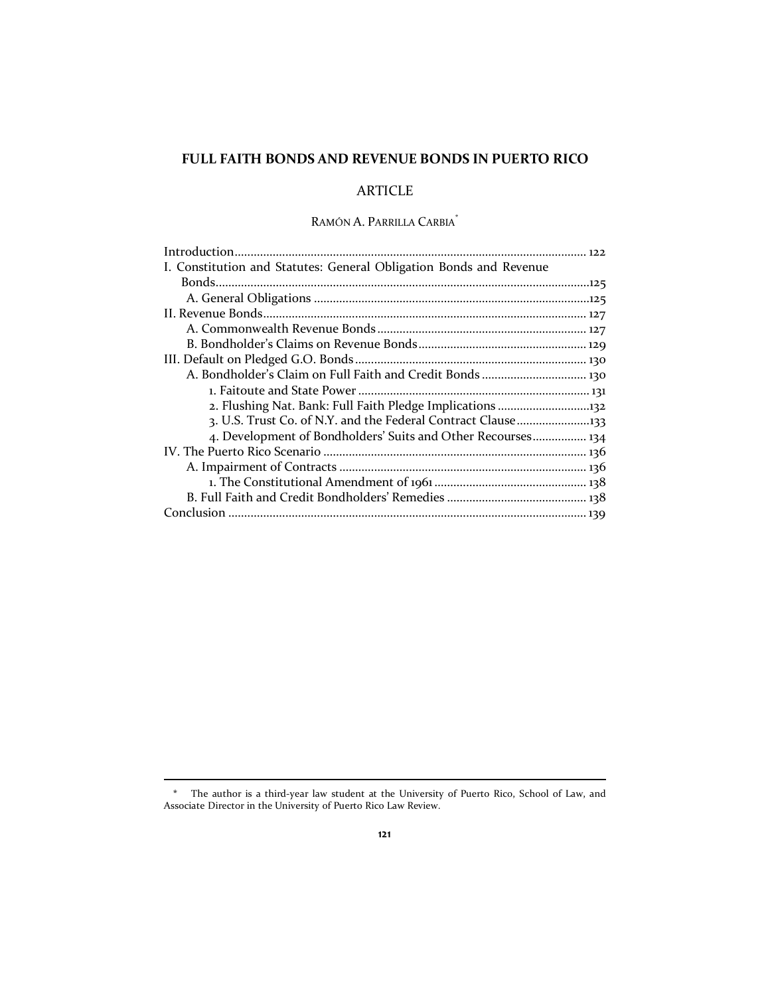# **FULL FAITH BONDS AND REVENUE BONDS IN PUERTO RICO**

# ARTICLE

# RAMÓN A. PARRILLA CARBIA\*

| I. Constitution and Statutes: General Obligation Bonds and Revenue |
|--------------------------------------------------------------------|
|                                                                    |
|                                                                    |
|                                                                    |
|                                                                    |
|                                                                    |
|                                                                    |
| A. Bondholder's Claim on Full Faith and Credit Bonds  130          |
|                                                                    |
|                                                                    |
|                                                                    |
| 4. Development of Bondholders' Suits and Other Recourses 134       |
|                                                                    |
|                                                                    |
|                                                                    |
|                                                                    |
|                                                                    |

**<sup>\*</sup>** The author is a third-year law student at the University of Puerto Rico, School of Law, and Associate Director in the University of Puerto Rico Law Review.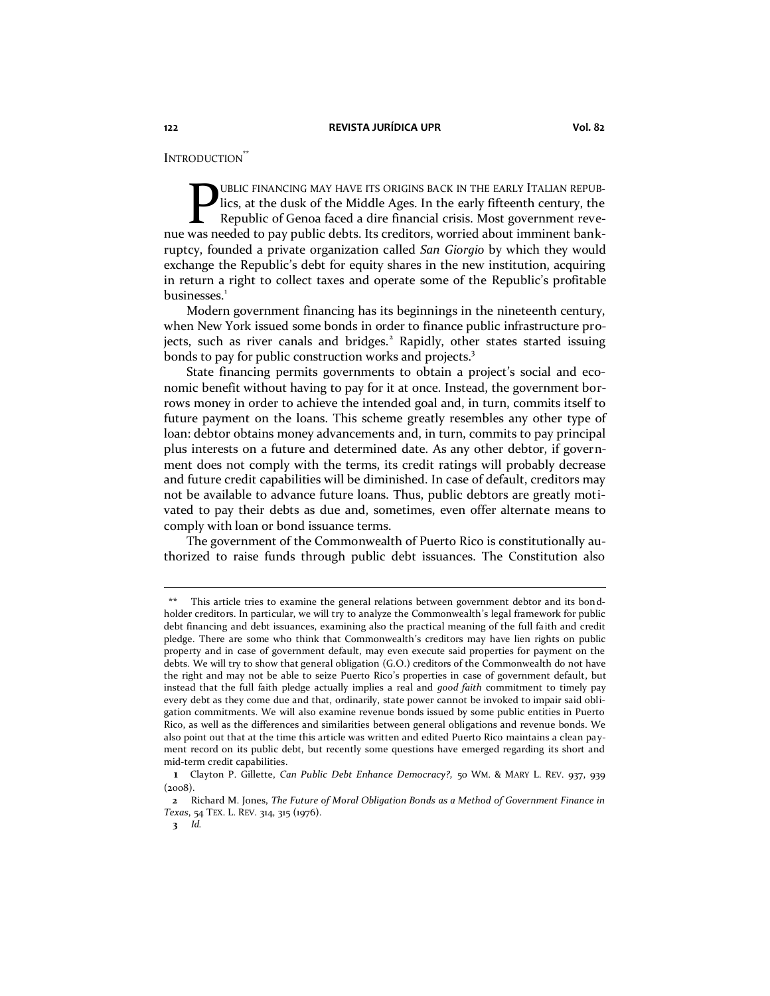INTRODUCTION<sup>\*\*</sup>

UBLIC FINANCING MAY HAVE ITS ORIGINS BACK IN THE EARLY ITALIAN REPUBlics, at the dusk of the Middle Ages. In the early fifteenth century, the Republic of Genoa faced a dire financial crisis. Most government reve-**DUBLIC FINANCING MAY HAVE ITS ORIGINS BACK IN THE EARLY ITALIAN REPUB-**<br>lics, at the dusk of the Middle Ages. In the early fifteenth century, the<br>Republic of Genoa faced a dire financial crisis. Most government reve-<br>nue ruptcy, founded a private organization called *San Giorgio* by which they would exchange the Republic's debt for equity shares in the new institution, acquiring in return a right to collect taxes and operate some of the Republic's profitable businesses.<sup>1</sup>

<span id="page-1-0"></span>Modern government financing has its beginnings in the nineteenth century, when New York issued some bonds in order to finance public infrastructure projects, such as river canals and bridges.<sup>2</sup> Rapidly, other states started issuing bonds to pay for public construction works and projects.<sup>3</sup>

State financing permits governments to obtain a project's social and economic benefit without having to pay for it at once. Instead, the government borrows money in order to achieve the intended goal and, in turn, commits itself to future payment on the loans. This scheme greatly resembles any other type of loan: debtor obtains money advancements and, in turn, commits to pay principal plus interests on a future and determined date. As any other debtor, if government does not comply with the terms, its credit ratings will probably decrease and future credit capabilities will be diminished. In case of default, creditors may not be available to advance future loans. Thus, public debtors are greatly motivated to pay their debts as due and, sometimes, even offer alternate means to comply with loan or bond issuance terms.

The government of the Commonwealth of Puerto Rico is constitutionally authorized to raise funds through public debt issuances. The Constitution also

**<sup>\*\*</sup>** This article tries to examine the general relations between government debtor and its bondholder creditors. In particular, we will try to analyze the Commonwealth's legal framework for public debt financing and debt issuances, examining also the practical meaning of the full faith and credit pledge. There are some who think that Commonwealth's creditors may have lien rights on public property and in case of government default, may even execute said properties for payment on the debts. We will try to show that general obligation (G.O.) creditors of the Commonwealth do not have the right and may not be able to seize Puerto Rico's properties in case of government default, but instead that the full faith pledge actually implies a real and *good faith* commitment to timely pay every debt as they come due and that, ordinarily, state power cannot be invoked to impair said obligation commitments. We will also examine revenue bonds issued by some public entities in Puerto Rico, as well as the differences and similarities between general obligations and revenue bonds. We also point out that at the time this article was written and edited Puerto Rico maintains a clean payment record on its public debt, but recently some questions have emerged regarding its short and mid-term credit capabilities.

**1** Clayton P. Gillette, *Can Public Debt Enhance Democracy?,* 50 WM. & MARY L. REV. 937, 939  $(2008)$ .

**<sup>2</sup>** Richard M. Jones, *The Future of Moral Obligation Bonds as a Method of Government Finance in Texas*, 54 TEX. L. REV. 314, 315 (1976).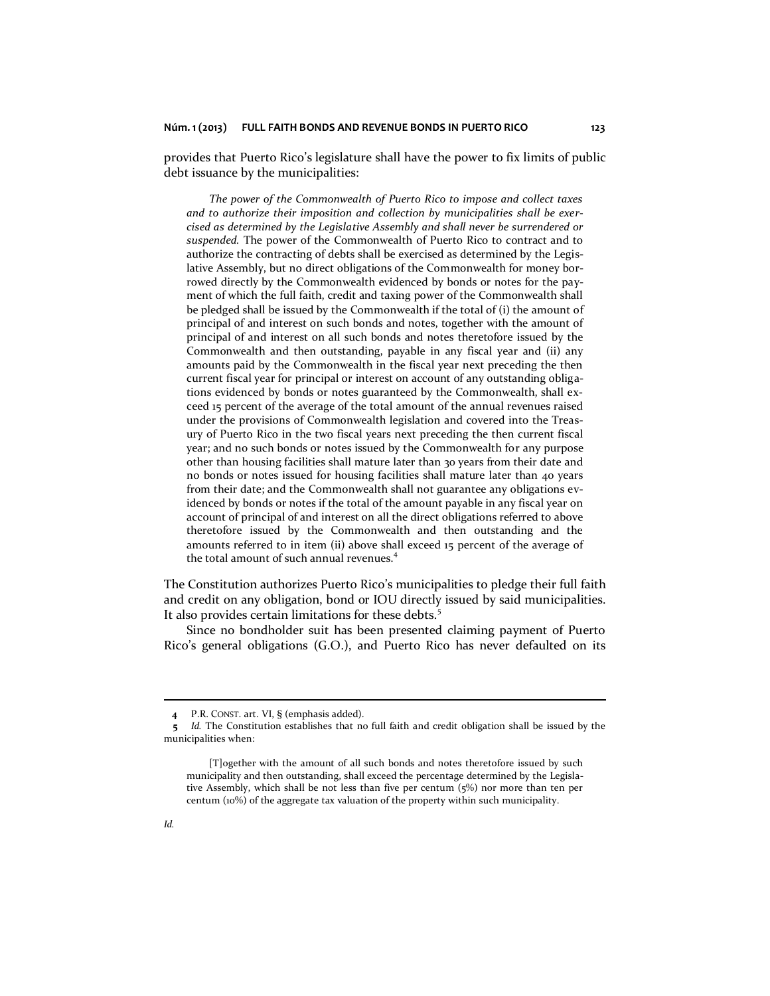provides that Puerto Rico's legislature shall have the power to fix limits of public debt issuance by the municipalities:

*The power of the Commonwealth of Puerto Rico to impose and collect taxes and to authorize their imposition and collection by municipalities shall be exercised as determined by the Legislative Assembly and shall never be surrendered or suspended.* The power of the Commonwealth of Puerto Rico to contract and to authorize the contracting of debts shall be exercised as determined by the Legislative Assembly, but no direct obligations of the Commonwealth for money borrowed directly by the Commonwealth evidenced by bonds or notes for the payment of which the full faith, credit and taxing power of the Commonwealth shall be pledged shall be issued by the Commonwealth if the total of (i) the amount of principal of and interest on such bonds and notes, together with the amount of principal of and interest on all such bonds and notes theretofore issued by the Commonwealth and then outstanding, payable in any fiscal year and (ii) any amounts paid by the Commonwealth in the fiscal year next preceding the then current fiscal year for principal or interest on account of any outstanding obligations evidenced by bonds or notes guaranteed by the Commonwealth, shall exceed 15 percent of the average of the total amount of the annual revenues raised under the provisions of Commonwealth legislation and covered into the Treasury of Puerto Rico in the two fiscal years next preceding the then current fiscal year; and no such bonds or notes issued by the Commonwealth for any purpose other than housing facilities shall mature later than 30 years from their date and no bonds or notes issued for housing facilities shall mature later than 40 years from their date; and the Commonwealth shall not guarantee any obligations evidenced by bonds or notes if the total of the amount payable in any fiscal year on account of principal of and interest on all the direct obligations referred to above theretofore issued by the Commonwealth and then outstanding and the amounts referred to in item (ii) above shall exceed 15 percent of the average of the total amount of such annual revenues.<sup>4</sup>

The Constitution authorizes Puerto Rico's municipalities to pledge their full faith and credit on any obligation, bond or IOU directly issued by said municipalities. It also provides certain limitations for these debts.<sup>5</sup>

Since no bondholder suit has been presented claiming payment of Puerto Rico's general obligations (G.O.), and Puerto Rico has never defaulted on its

**<sup>4</sup>** P.R. CONST. art. VI, § (emphasis added).

**<sup>5</sup>** *Id.* The Constitution establishes that no full faith and credit obligation shall be issued by the municipalities when:

<sup>[</sup>T]ogether with the amount of all such bonds and notes theretofore issued by such municipality and then outstanding, shall exceed the percentage determined by the Legislative Assembly, which shall be not less than five per centum (5%) nor more than ten per centum (10%) of the aggregate tax valuation of the property within such municipality.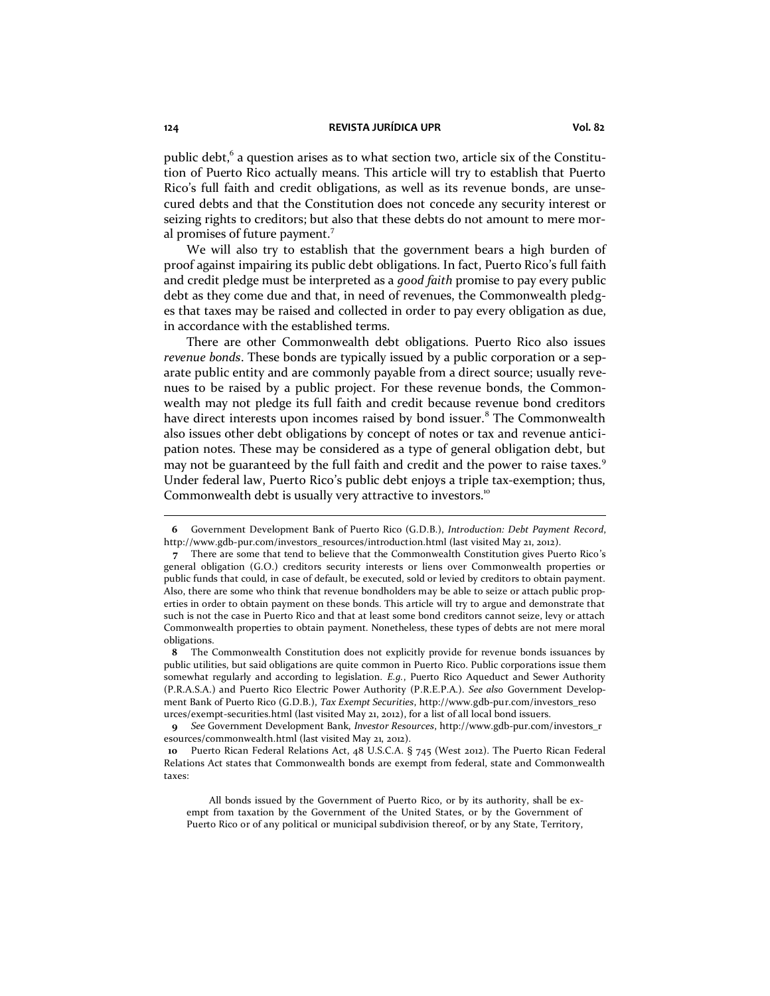public debt,<sup>6</sup> a question arises as to what section two, article six of the Constitution of Puerto Rico actually means. This article will try to establish that Puerto Rico's full faith and credit obligations, as well as its revenue bonds, are unsecured debts and that the Constitution does not concede any security interest or seizing rights to creditors; but also that these debts do not amount to mere moral promises of future payment.<sup>7</sup>

We will also try to establish that the government bears a high burden of proof against impairing its public debt obligations. In fact, Puerto Rico's full faith and credit pledge must be interpreted as a *good faith* promise to pay every public debt as they come due and that, in need of revenues, the Commonwealth pledges that taxes may be raised and collected in order to pay every obligation as due, in accordance with the established terms.

There are other Commonwealth debt obligations. Puerto Rico also issues *revenue bonds*. These bonds are typically issued by a public corporation or a separate public entity and are commonly payable from a direct source; usually revenues to be raised by a public project. For these revenue bonds, the Commonwealth may not pledge its full faith and credit because revenue bond creditors have direct interests upon incomes raised by bond issuer.<sup>8</sup> The Commonwealth also issues other debt obligations by concept of notes or tax and revenue anticipation notes. These may be considered as a type of general obligation debt, but may not be guaranteed by the full faith and credit and the power to raise taxes.<sup>9</sup> Under federal law, Puerto Rico's public debt enjoys a triple tax-exemption; thus, Commonwealth debt is usually very attractive to investors.<sup>10</sup>

**9** *See* Government Development Bank, *Investor Resources*, http://www.gdb-pur.com/investors\_r esources/commonwealth.html (last visited May 21, 2012).

**<sup>6</sup>** Government Development Bank of Puerto Rico (G.D.B.), *Introduction: Debt Payment Record*, http://www.gdb-pur.com/investors\_resources/introduction.html (last visited May 21, 2012).

**<sup>7</sup>** There are some that tend to believe that the Commonwealth Constitution gives Puerto Rico's general obligation (G.O.) creditors security interests or liens over Commonwealth properties or public funds that could, in case of default, be executed, sold or levied by creditors to obtain payment. Also, there are some who think that revenue bondholders may be able to seize or attach public properties in order to obtain payment on these bonds. This article will try to argue and demonstrate that such is not the case in Puerto Rico and that at least some bond creditors cannot seize, levy or attach Commonwealth properties to obtain payment. Nonetheless, these types of debts are not mere moral obligations.

**<sup>8</sup>** The Commonwealth Constitution does not explicitly provide for revenue bonds issuances by public utilities, but said obligations are quite common in Puerto Rico. Public corporations issue them somewhat regularly and according to legislation. *E.g.*, Puerto Rico Aqueduct and Sewer Authority (P.R.A.S.A.) and Puerto Rico Electric Power Authority (P.R.E.P.A.). *See also* Government Development Bank of Puerto Rico (G.D.B.), *Tax Exempt Securities*, http://www.gdb-pur.com/investors\_reso urces/exempt-securities.html (last visited May 21, 2012), for a list of all local bond issuers.

**<sup>10</sup>** Puerto Rican Federal Relations Act, 48 U.S.C.A. § 745 (West 2012). The Puerto Rican Federal Relations Act states that Commonwealth bonds are exempt from federal, state and Commonwealth taxes:

All bonds issued by the Government of Puerto Rico, or by its authority, shall be exempt from taxation by the Government of the United States, or by the Government of Puerto Rico or of any political or municipal subdivision thereof, or by any State, Territory,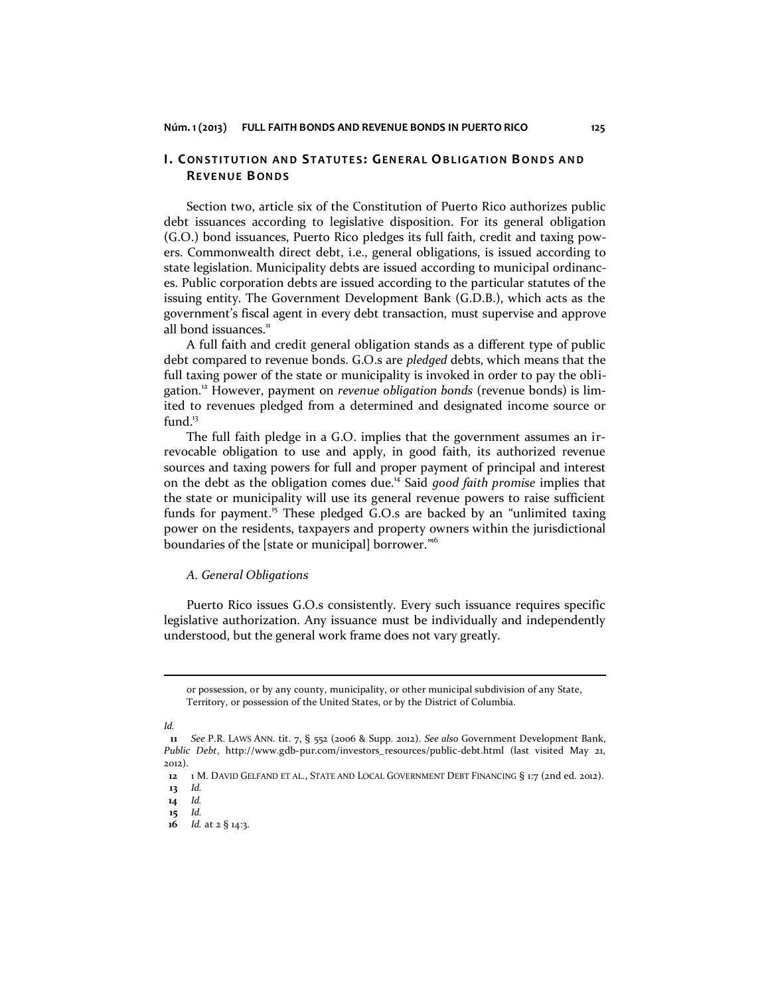# **I.** CONSTITUTION AND STATUTES: GENERAL OBLIGATION BONDS AND **RE VE N UE BON D S**

Section two, article six of the Constitution of Puerto Rico authorizes public debt issuances according to legislative disposition. For its general obligation (G.O.) bond issuances, Puerto Rico pledges its full faith, credit and taxing powers. Commonwealth direct debt, i.e., general obligations, is issued according to state legislation. Municipality debts are issued according to municipal ordinances. Public corporation debts are issued according to the particular statutes of the issuing entity. The Government Development Bank (G.D.B.), which acts as the government's fiscal agent in every debt transaction, must supervise and approve all bond issuances. $11$ 

<span id="page-4-0"></span>A full faith and credit general obligation stands as a different type of public debt compared to revenue bonds. G.O.s are *pledged* debts, which means that the full taxing power of the state or municipality is invoked in order to pay the obligation.<sup>12</sup> However, payment on *revenue obligation bonds* (revenue bonds) is limited to revenues pledged from a determined and designated income source or fund. $13$ 

The full faith pledge in a G.O. implies that the government assumes an irrevocable obligation to use and apply, in good faith, its authorized revenue sources and taxing powers for full and proper payment of principal and interest on the debt as the obligation comes due.<sup>14</sup> Said *good faith promise* implies that the state or municipality will use its general revenue powers to raise sufficient funds for payment.<sup>15</sup> These pledged G.O.s are backed by an "unlimited taxing power on the residents, taxpayers and property owners within the jurisdictional boundaries of the [state or municipal] borrower."<sup>6</sup>

### *A. General Obligations*

Puerto Rico issues G.O.s consistently. Every such issuance requires specific legislative authorization. Any issuance must be individually and independently understood, but the general work frame does not vary greatly.

*Id.* 

or possession, or by any county, municipality, or other municipal subdivision of any State, Territory, or possession of the United States, or by the District of Columbia.

**<sup>11</sup>** *See* P.R. LAWS ANN. tit. 7, § 552 (2006 & Supp. 2012). *See also* Government Development Bank, *Public Debt*, http://www.gdb-pur.com/investors\_resources/public-debt.html (last visited May 21, 2012).

**<sup>12</sup>** 1 M. DAVID GELFAND ET AL., STATE AND LOCAL GOVERNMENT DEBT FINANCING § 1:7 (2nd ed. 2012).

**<sup>13</sup>** *Id.*

**<sup>14</sup>** *Id.*

**<sup>15</sup>** *Id.*

**<sup>16</sup>** *Id.* at 2 § 14:3.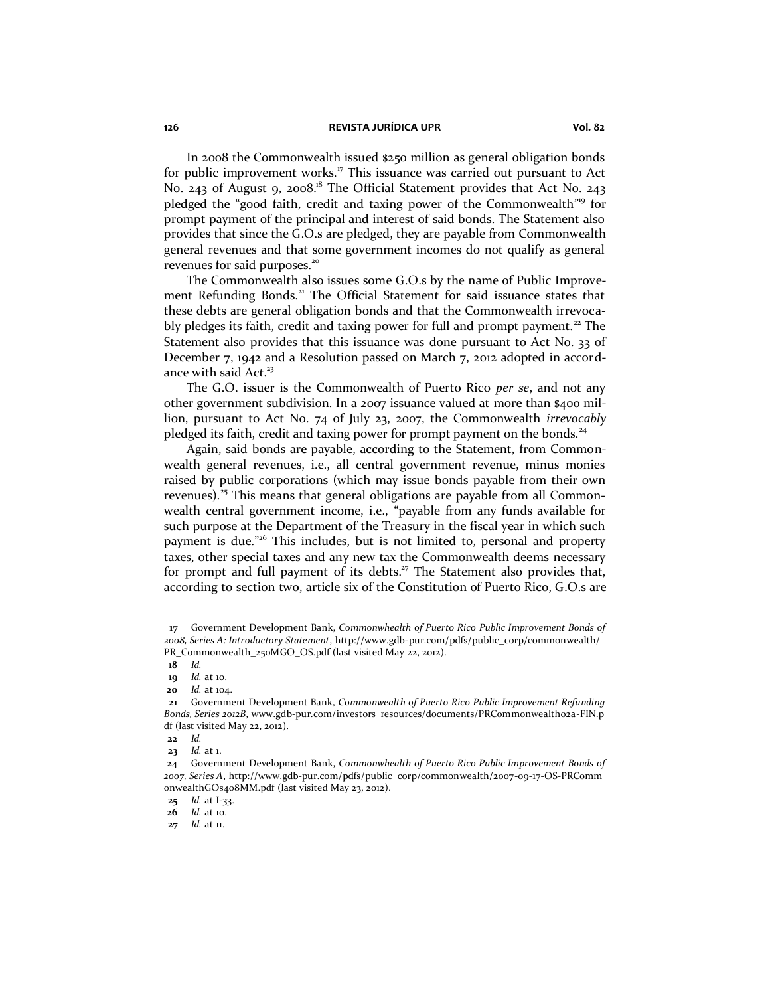In 2008 the Commonwealth issued \$250 million as general obligation bonds for public improvement works.<sup>17</sup> This issuance was carried out pursuant to Act No. 243 of August 9, 2008.<sup>18</sup> The Official Statement provides that Act No. 243 pledged the "good faith, credit and taxing power of the Commonwealth"<sup>19</sup> for prompt payment of the principal and interest of said bonds. The Statement also provides that since the G.O.s are pledged, they are payable from Commonwealth general revenues and that some government incomes do not qualify as general revenues for said purposes.<sup>20</sup>

The Commonwealth also issues some G.O.s by the name of Public Improvement Refunding Bonds.<sup>21</sup> The Official Statement for said issuance states that these debts are general obligation bonds and that the Commonwealth irrevocably pledges its faith, credit and taxing power for full and prompt payment.<sup>22</sup> The Statement also provides that this issuance was done pursuant to Act No. 33 of December 7, 1942 and a Resolution passed on March 7, 2012 adopted in accordance with said Act.<sup>23</sup>

The G.O. issuer is the Commonwealth of Puerto Rico *per se*, and not any other government subdivision. In a 2007 issuance valued at more than \$400 million, pursuant to Act No. 74 of July 23, 2007, the Commonwealth *irrevocably* pledged its faith, credit and taxing power for prompt payment on the bonds.<sup>24</sup>

Again, said bonds are payable, according to the Statement, from Commonwealth general revenues, i.e., all central government revenue, minus monies raised by public corporations (which may issue bonds payable from their own revenues).<sup>25</sup> This means that general obligations are payable from all Commonwealth central government income, i.e., "payable from any funds available for such purpose at the Department of the Treasury in the fiscal year in which such payment is due."<sup>26</sup> This includes, but is not limited to, personal and property taxes, other special taxes and any new tax the Commonwealth deems necessary for prompt and full payment of its debts.<sup>27</sup> The Statement also provides that, according to section two, article six of the Constitution of Puerto Rico, G.O.s are

**18** *Id.*

**<sup>17</sup>** Government Development Bank, *Commonwhealth of Puerto Rico Public Improvement Bonds of 2008, Series A: Introductory Statement*, http://www.gdb-pur.com/pdfs/public\_corp/commonwealth/ PR\_Commonwealth\_250MGO\_OS.pdf (last visited May 22, 2012).

**<sup>19</sup>** *Id.* at 10.

**<sup>20</sup>** *Id.* at 104.

**<sup>21</sup>** Government Development Bank, *Commonwealth of Puerto Rico Public Improvement Refunding*  Bonds, Series 2012B, www.gdb-pur.com/investors\_resources/documents/PRCommonwealtho2a-FIN.p df (last visited May 22, 2012).

**<sup>22</sup>** *Id.*

**<sup>23</sup>** *Id.* at 1.

**<sup>24</sup>** Government Development Bank, *Commonwhealth of Puerto Rico Public Improvement Bonds of 2007, Series A*, http://www.gdb-pur.com/pdfs/public\_corp/commonwealth/2007-09-17-OS-PRComm onwealthGOs408MM.pdf (last visited May 23, 2012).

**<sup>25</sup>** *Id.* at I-33.

**<sup>26</sup>** *Id.* at 10.

**<sup>27</sup>** *Id.* at 11.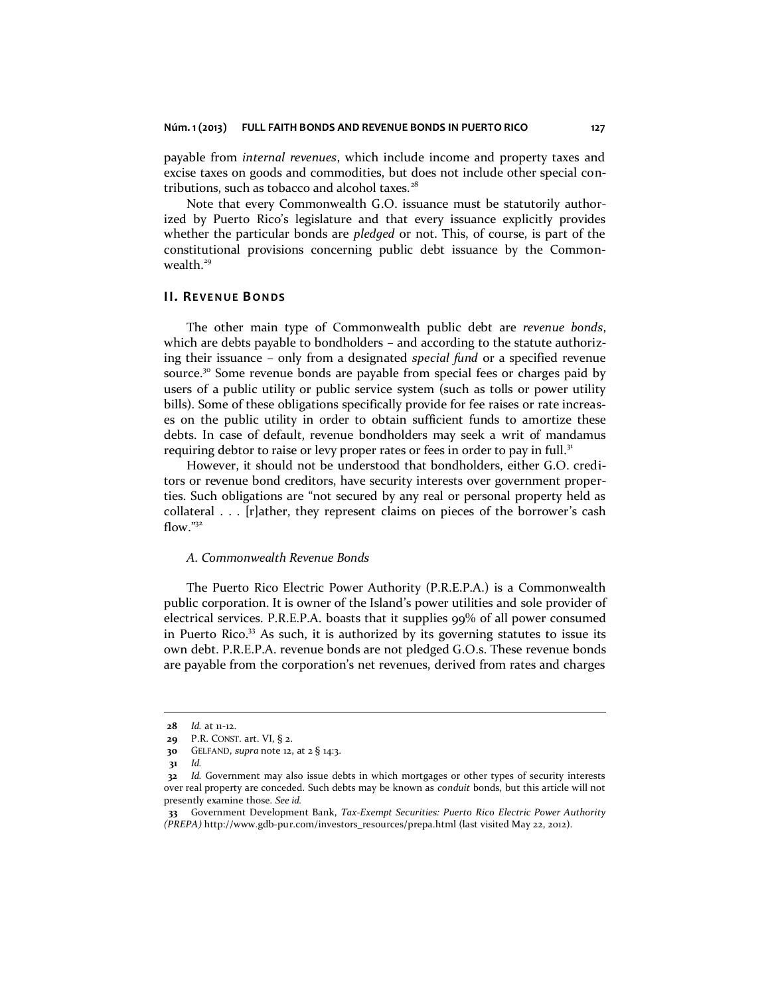#### **Núm. 1 (2013) FULL FAITH BONDS AND REVENUE BONDS IN PUERTO RICO 127**

payable from *internal revenues*, which include income and property taxes and excise taxes on goods and commodities, but does not include other special contributions, such as tobacco and alcohol taxes. $28$ 

Note that every Commonwealth G.O. issuance must be statutorily authorized by Puerto Rico's legislature and that every issuance explicitly provides whether the particular bonds are *pledged* or not. This, of course, is part of the constitutional provisions concerning public debt issuance by the Commonwealth.<sup>29</sup>

# **II. RE VE N UE BON DS**

The other main type of Commonwealth public debt are *revenue bonds*, which are debts payable to bondholders – and according to the statute authorizing their issuance – only from a designated *special fund* or a specified revenue source.<sup>30</sup> Some revenue bonds are payable from special fees or charges paid by users of a public utility or public service system (such as tolls or power utility bills). Some of these obligations specifically provide for fee raises or rate increases on the public utility in order to obtain sufficient funds to amortize these debts. In case of default, revenue bondholders may seek a writ of mandamus requiring debtor to raise or levy proper rates or fees in order to pay in full.<sup>31</sup>

However, it should not be understood that bondholders, either G.O. creditors or revenue bond creditors, have security interests over government properties. Such obligations are "not secured by any real or personal property held as collateral . . . [r]ather, they represent claims on pieces of the borrower's cash flow."<sup>32</sup>

## *A. Commonwealth Revenue Bonds*

The Puerto Rico Electric Power Authority (P.R.E.P.A.) is a Commonwealth public corporation. It is owner of the Island's power utilities and sole provider of electrical services. P.R.E.P.A. boasts that it supplies 99% of all power consumed in Puerto Rico. $33$  As such, it is authorized by its governing statutes to issue its own debt. P.R.E.P.A. revenue bonds are not pledged G.O.s. These revenue bonds are payable from the corporation's net revenues, derived from rates and charges

**<sup>28</sup>** *Id.* at 11-12.

**<sup>29</sup>** P.R. CONST. art. VI, § 2.

**<sup>30</sup>** GELFAND, *supra* not[e 12,](#page-4-0) at 2 § 14:3.

**<sup>31</sup>** *Id.*

**<sup>32</sup>** *Id.* Government may also issue debts in which mortgages or other types of security interests over real property are conceded. Such debts may be known as *conduit* bonds, but this article will not presently examine those. *See id.*

**<sup>33</sup>** Government Development Bank, *Tax-Exempt Securities: Puerto Rico Electric Power Authority (PREPA)* http://www.gdb-pur.com/investors\_resources/prepa.html (last visited May 22, 2012).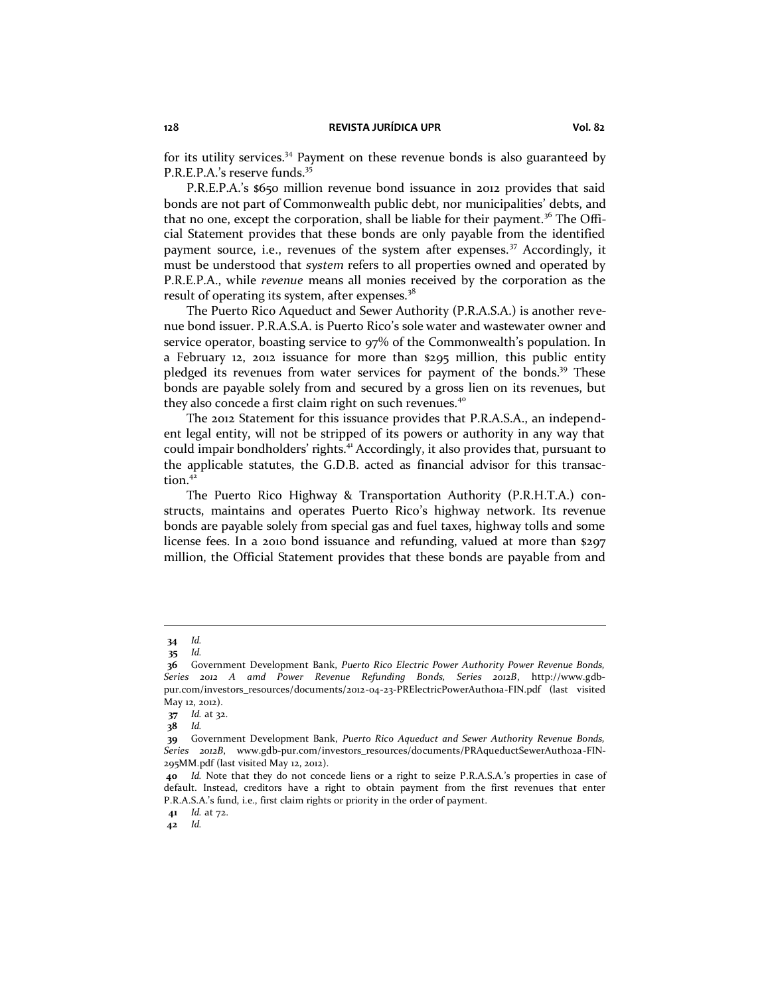for its utility services.<sup>34</sup> Payment on these revenue bonds is also guaranteed by P.R.E.P.A.'s reserve funds.<sup>35</sup>

P.R.E.P.A.'s \$650 million revenue bond issuance in 2012 provides that said bonds are not part of Commonwealth public debt, nor municipalities' debts, and that no one, except the corporation, shall be liable for their payment.<sup>36</sup> The Official Statement provides that these bonds are only payable from the identified payment source, i.e., revenues of the system after expenses.<sup>37</sup> Accordingly, it must be understood that *system* refers to all properties owned and operated by P.R.E.P.A., while *revenue* means all monies received by the corporation as the result of operating its system, after expenses.<sup>38</sup>

The Puerto Rico Aqueduct and Sewer Authority (P.R.A.S.A.) is another revenue bond issuer. P.R.A.S.A. is Puerto Rico's sole water and wastewater owner and service operator, boasting service to 97% of the Commonwealth's population. In a February 12, 2012 issuance for more than \$295 million, this public entity pledged its revenues from water services for payment of the bonds.<sup>39</sup> These bonds are payable solely from and secured by a gross lien on its revenues, but they also concede a first claim right on such revenues.<sup>40</sup>

The 2012 Statement for this issuance provides that P.R.A.S.A., an independent legal entity, will not be stripped of its powers or authority in any way that could impair bondholders' rights.<sup>41</sup> Accordingly, it also provides that, pursuant to the applicable statutes, the G.D.B. acted as financial advisor for this transaction. $42$ 

The Puerto Rico Highway & Transportation Authority (P.R.H.T.A.) constructs, maintains and operates Puerto Rico's highway network. Its revenue bonds are payable solely from special gas and fuel taxes, highway tolls and some license fees. In a 2010 bond issuance and refunding, valued at more than \$297 million, the Official Statement provides that these bonds are payable from and

**<sup>34</sup>** *Id.*

**<sup>35</sup>** *Id.*

**<sup>36</sup>** Government Development Bank, *Puerto Rico Electric Power Authority Power Revenue Bonds, Series 2012 A amd Power Revenue Refunding Bonds, Series 2012B*, http://www.gdbpur.com/investors\_resources/documents/2012-04-23-PRElectricPowerAuth01a-FIN.pdf (last visited May 12, 2012).

**<sup>37</sup>** *Id.* at 32.

**<sup>38</sup>** *Id.*

**<sup>39</sup>** Government Development Bank, *Puerto Rico Aqueduct and Sewer Authority Revenue Bonds, Series 2012B*, www.gdb-pur.com/investors\_resources/documents/PRAqueductSewerAuth02a-FIN-295MM.pdf (last visited May 12, 2012).

**<sup>40</sup>** *Id.* Note that they do not concede liens or a right to seize P.R.A.S.A.'s properties in case of default. Instead, creditors have a right to obtain payment from the first revenues that enter P.R.A.S.A.'s fund, i.e., first claim rights or priority in the order of payment.

**<sup>41</sup>** *Id.* at 72.

**<sup>42</sup>** *Id.*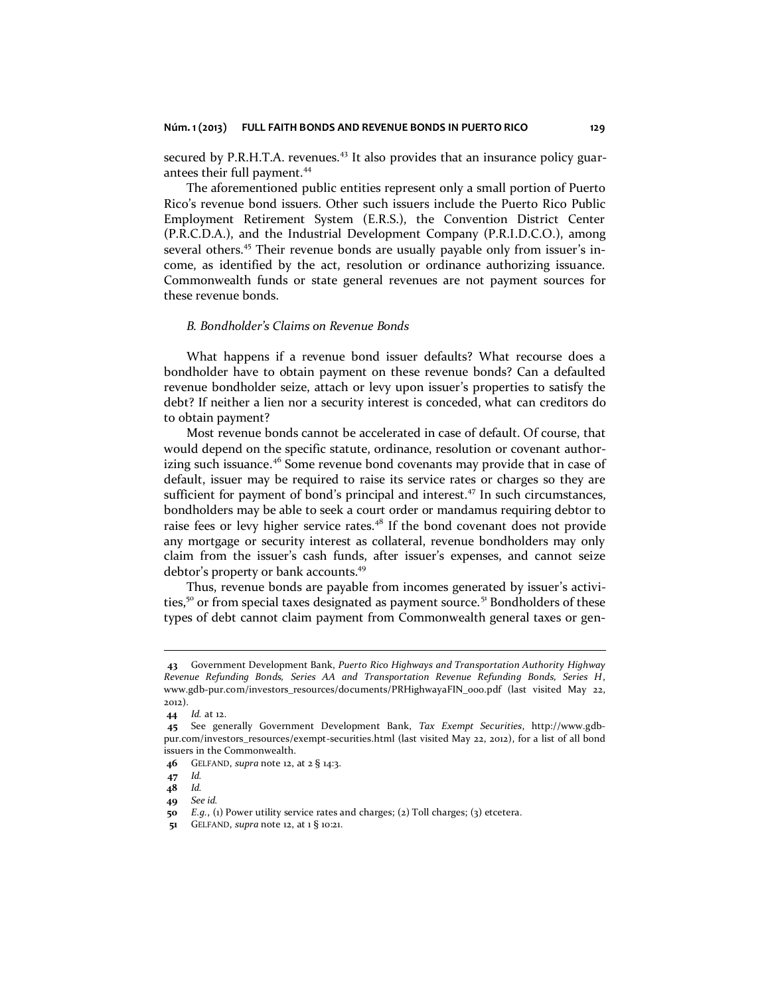secured by P.R.H.T.A. revenues.<sup>43</sup> It also provides that an insurance policy guarantees their full payment.<sup>44</sup>

The aforementioned public entities represent only a small portion of Puerto Rico's revenue bond issuers. Other such issuers include the Puerto Rico Public Employment Retirement System (E.R.S.), the Convention District Center (P.R.C.D.A.), and the Industrial Development Company (P.R.I.D.C.O.), among several others.<sup>45</sup> Their revenue bonds are usually payable only from issuer's income, as identified by the act, resolution or ordinance authorizing issuance. Commonwealth funds or state general revenues are not payment sources for these revenue bonds.

# *B. Bondholder's Claims on Revenue Bonds*

What happens if a revenue bond issuer defaults? What recourse does a bondholder have to obtain payment on these revenue bonds? Can a defaulted revenue bondholder seize, attach or levy upon issuer's properties to satisfy the debt? If neither a lien nor a security interest is conceded, what can creditors do to obtain payment?

Most revenue bonds cannot be accelerated in case of default. Of course, that would depend on the specific statute, ordinance, resolution or covenant authorizing such issuance.<sup>46</sup> Some revenue bond covenants may provide that in case of default, issuer may be required to raise its service rates or charges so they are sufficient for payment of bond's principal and interest.<sup>47</sup> In such circumstances, bondholders may be able to seek a court order or mandamus requiring debtor to raise fees or levy higher service rates.<sup>48</sup> If the bond covenant does not provide any mortgage or security interest as collateral, revenue bondholders may only claim from the issuer's cash funds, after issuer's expenses, and cannot seize debtor's property or bank accounts.<sup>49</sup>

Thus, revenue bonds are payable from incomes generated by issuer's activities,<sup>50</sup> or from special taxes designated as payment source.<sup>51</sup> Bondholders of these types of debt cannot claim payment from Commonwealth general taxes or gen-

**<sup>43</sup>** Government Development Bank, *Puerto Rico Highways and Transportation Authority Highway Revenue Refunding Bonds, Series AA and Transportation Revenue Refunding Bonds, Series H*, www.gdb-pur.com/investors\_resources/documents/PRHighwayaFIN\_000.pdf (last visited May 22, 2012).

**<sup>44</sup>** *Id.* at 12.

**<sup>45</sup>** See generally Government Development Bank, *Tax Exempt Securities*, http://www.gdbpur.com/investors\_resources/exempt-securities.html (last visited May 22, 2012), for a list of all bond issuers in the Commonwealth.

**<sup>46</sup>** GELFAND, *supra* not[e 12,](#page-4-0) at 2 § 14:3.

**<sup>47</sup>** *Id.*

**<sup>48</sup>** *Id.*

**<sup>49</sup>** *See id.*

**<sup>50</sup>** *E.g.*, (1) Power utility service rates and charges; (2) Toll charges; (3) etcetera.

**<sup>51</sup>** GELFAND, *supra* not[e 12,](#page-4-0) at 1 § 10:21.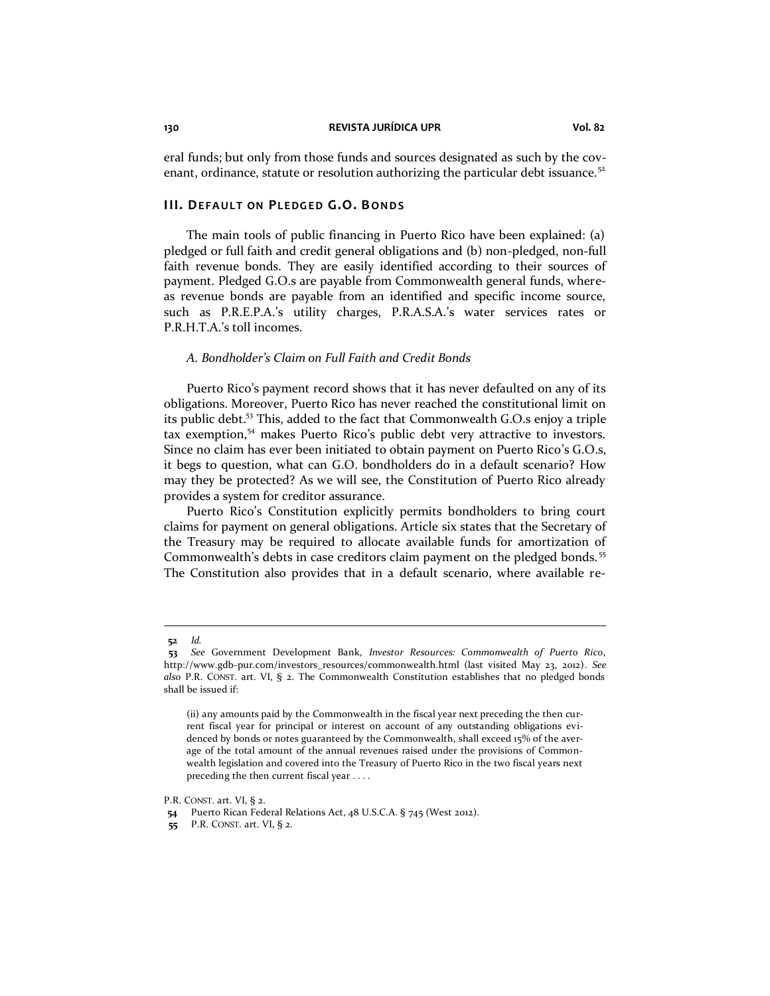eral funds; but only from those funds and sources designated as such by the covenant, ordinance, statute or resolution authorizing the particular debt issuance.<sup>52</sup>

# **III.** DEFAULT ON PLEDGED G.O. BONDS

The main tools of public financing in Puerto Rico have been explained: (a) pledged or full faith and credit general obligations and (b) non-pledged, non-full faith revenue bonds. They are easily identified according to their sources of payment. Pledged G.O.s are payable from Commonwealth general funds, whereas revenue bonds are payable from an identified and specific income source, such as P.R.E.P.A.'s utility charges, P.R.A.S.A.'s water services rates or P.R.H.T.A.'s toll incomes.

# *A. Bondholder's Claim on Full Faith and Credit Bonds*

Puerto Rico's payment record shows that it has never defaulted on any of its obligations. Moreover, Puerto Rico has never reached the constitutional limit on its public debt.<sup>53</sup> This, added to the fact that Commonwealth G.O.s enjoy a triple tax exemption,<sup>54</sup> makes Puerto Rico's public debt very attractive to investors. Since no claim has ever been initiated to obtain payment on Puerto Rico's G.O.s, it begs to question, what can G.O. bondholders do in a default scenario? How may they be protected? As we will see, the Constitution of Puerto Rico already provides a system for creditor assurance.

Puerto Rico's Constitution explicitly permits bondholders to bring court claims for payment on general obligations. Article six states that the Secretary of the Treasury may be required to allocate available funds for amortization of Commonwealth's debts in case creditors claim payment on the pledged bonds.<sup>55</sup> The Constitution also provides that in a default scenario, where available re-

**<sup>52</sup>** *Id.*

**<sup>53</sup>** *See* Government Development Bank, *Investor Resources: Commonwealth of Puerto Rico*, http://www.gdb-pur.com/investors\_resources/commonwealth.html (last visited May 23, 2012). *See also* P.R. CONST. art. VI, § 2. The Commonwealth Constitution establishes that no pledged bonds shall be issued if:

<sup>(</sup>ii) any amounts paid by the Commonwealth in the fiscal year next preceding the then current fiscal year for principal or interest on account of any outstanding obligations evidenced by bonds or notes guaranteed by the Commonwealth, shall exceed 15% of the average of the total amount of the annual revenues raised under the provisions of Commonwealth legislation and covered into the Treasury of Puerto Rico in the two fiscal years next preceding the then current fiscal year . . . .

P.R. CONST. art. VI, § 2.

**<sup>54</sup>** Puerto Rican Federal Relations Act, 48 U.S.C.A. § 745 (West 2012).

**<sup>55</sup>** P.R. CONST. art. VI, § 2.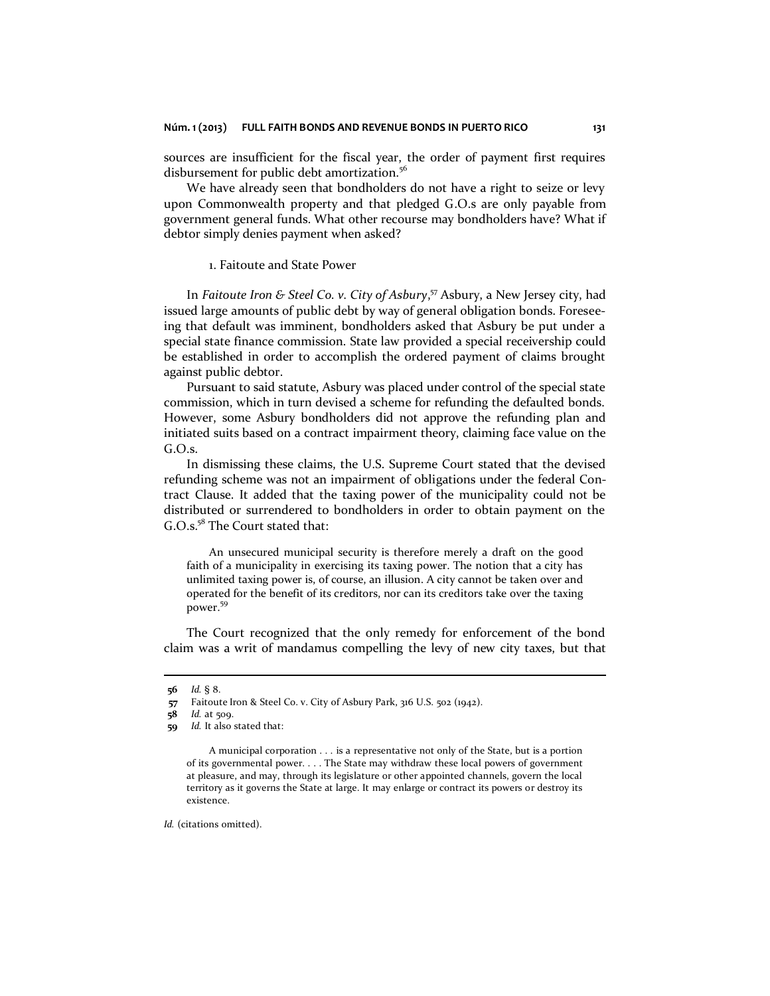sources are insufficient for the fiscal year, the order of payment first requires disbursement for public debt amortization.<sup>56</sup>

We have already seen that bondholders do not have a right to seize or levy upon Commonwealth property and that pledged G.O.s are only payable from government general funds. What other recourse may bondholders have? What if debtor simply denies payment when asked?

#### 1. Faitoute and State Power

In *Faitoute Iron & Steel Co. v. City of Asbury*, <sup>57</sup> Asbury, a New Jersey city, had issued large amounts of public debt by way of general obligation bonds. Foreseeing that default was imminent, bondholders asked that Asbury be put under a special state finance commission. State law provided a special receivership could be established in order to accomplish the ordered payment of claims brought against public debtor.

Pursuant to said statute, Asbury was placed under control of the special state commission, which in turn devised a scheme for refunding the defaulted bonds. However, some Asbury bondholders did not approve the refunding plan and initiated suits based on a contract impairment theory, claiming face value on the G.O.s.

In dismissing these claims, the U.S. Supreme Court stated that the devised refunding scheme was not an impairment of obligations under the federal Contract Clause. It added that the taxing power of the municipality could not be distributed or surrendered to bondholders in order to obtain payment on the G.O.s.<sup>58</sup> The Court stated that:

An unsecured municipal security is therefore merely a draft on the good faith of a municipality in exercising its taxing power. The notion that a city has unlimited taxing power is, of course, an illusion. A city cannot be taken over and operated for the benefit of its creditors, nor can its creditors take over the taxing power. 59

The Court recognized that the only remedy for enforcement of the bond claim was a writ of mandamus compelling the levy of new city taxes, but that

*Id.* (citations omitted).

**<sup>56</sup>** *Id.* § 8.

**<sup>57</sup>** Faitoute Iron & Steel Co. v. City of Asbury Park, 316 U.S. 502 (1942).

**<sup>58</sup>** *Id.* at 509.

**<sup>59</sup>** *Id.* It also stated that:

A municipal corporation . . . is a representative not only of the State, but is a portion of its governmental power. . . . The State may withdraw these local powers of government at pleasure, and may, through its legislature or other appointed channels, govern the local territory as it governs the State at large. It may enlarge or contract its powers or destroy its existence.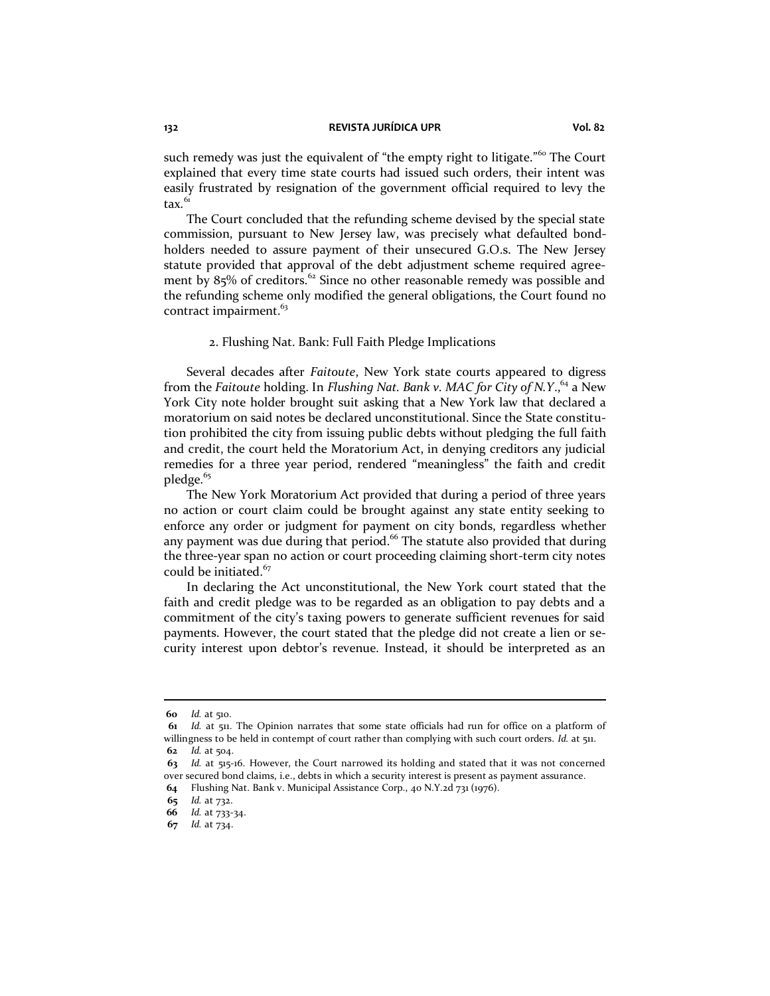such remedy was just the equivalent of "the empty right to litigate."<sup>60</sup> The Court explained that every time state courts had issued such orders, their intent was easily frustrated by resignation of the government official required to levy the  $\text{tax.}^{61}$ 

The Court concluded that the refunding scheme devised by the special state commission, pursuant to New Jersey law, was precisely what defaulted bondholders needed to assure payment of their unsecured G.O.s. The New Jersey statute provided that approval of the debt adjustment scheme required agreement by 85% of creditors.<sup>62</sup> Since no other reasonable remedy was possible and the refunding scheme only modified the general obligations, the Court found no contract impairment.<sup>63</sup>

#### 2. Flushing Nat. Bank: Full Faith Pledge Implications

Several decades after *Faitoute*, New York state courts appeared to digress from the *Faitoute* holding. In *Flushing Nat. Bank v. MAC for City of N.Y*., <sup>64</sup> a New York City note holder brought suit asking that a New York law that declared a moratorium on said notes be declared unconstitutional. Since the State constitution prohibited the city from issuing public debts without pledging the full faith and credit, the court held the Moratorium Act, in denying creditors any judicial remedies for a three year period, rendered "meaningless" the faith and credit pledge.<sup>65</sup>

The New York Moratorium Act provided that during a period of three years no action or court claim could be brought against any state entity seeking to enforce any order or judgment for payment on city bonds, regardless whether any payment was due during that period.<sup>66</sup> The statute also provided that during the three-year span no action or court proceeding claiming short-term city notes could be initiated. $67$ 

In declaring the Act unconstitutional, the New York court stated that the faith and credit pledge was to be regarded as an obligation to pay debts and a commitment of the city's taxing powers to generate sufficient revenues for said payments. However, the court stated that the pledge did not create a lien or security interest upon debtor's revenue. Instead, it should be interpreted as an

**<sup>60</sup>** *Id.* at 510.

**<sup>61</sup>** *Id.* at 511. The Opinion narrates that some state officials had run for office on a platform of willingness to be held in contempt of court rather than complying with such court orders. *Id.* at 511. **62** *Id.* at 504.

**<sup>63</sup>** *Id.* at 515-16. However, the Court narrowed its holding and stated that it was not concerned over secured bond claims, i.e., debts in which a security interest is present as payment assurance.

**<sup>64</sup>** Flushing Nat. Bank v. Municipal Assistance Corp., 40 N.Y.2d 731 (1976).

**<sup>65</sup>** *Id.* at 732.

**<sup>66</sup>** *Id.* at 733-34.

**<sup>67</sup>** *Id.* at 734.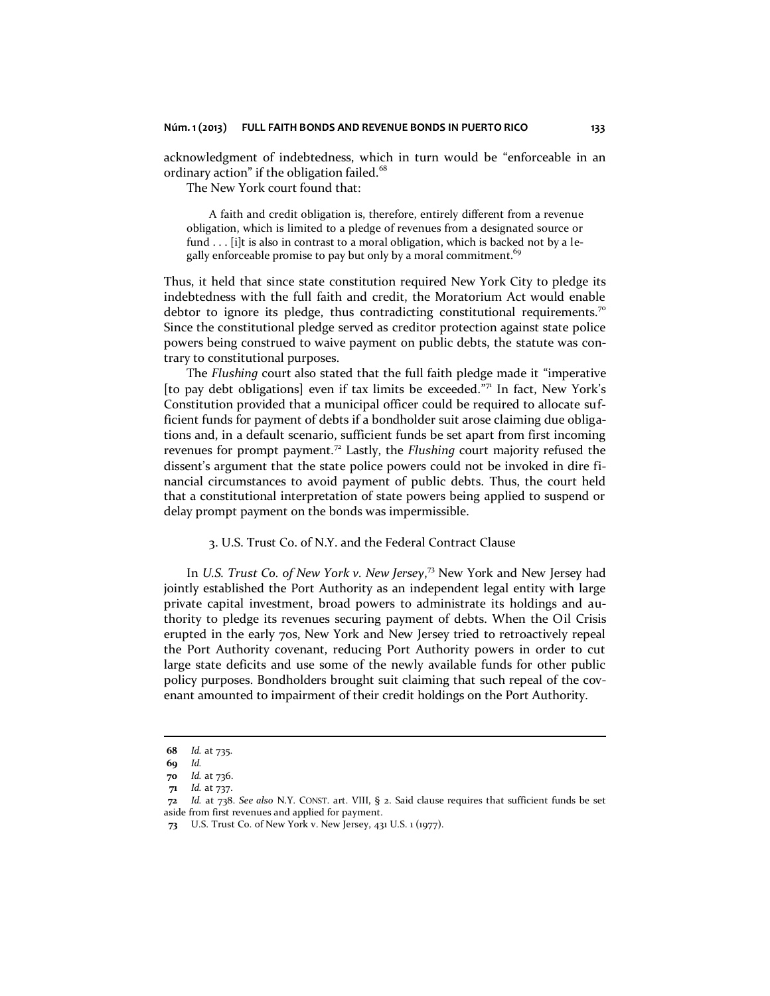acknowledgment of indebtedness, which in turn would be "enforceable in an ordinary action" if the obligation failed.<sup>68</sup>

The New York court found that:

A faith and credit obligation is, therefore, entirely different from a revenue obligation, which is limited to a pledge of revenues from a designated source or fund . . . [i]t is also in contrast to a moral obligation, which is backed not by a legally enforceable promise to pay but only by a moral commitment.<sup>69</sup>

Thus, it held that since state constitution required New York City to pledge its indebtedness with the full faith and credit, the Moratorium Act would enable debtor to ignore its pledge, thus contradicting constitutional requirements.<sup>70</sup> Since the constitutional pledge served as creditor protection against state police powers being construed to waive payment on public debts, the statute was contrary to constitutional purposes.

The *Flushing* court also stated that the full faith pledge made it "imperative [to pay debt obligations] even if tax limits be exceeded."<sup>71</sup> In fact, New York's Constitution provided that a municipal officer could be required to allocate sufficient funds for payment of debts if a bondholder suit arose claiming due obligations and, in a default scenario, sufficient funds be set apart from first incoming revenues for prompt payment.<sup>72</sup> Lastly, the *Flushing* court majority refused the dissent's argument that the state police powers could not be invoked in dire financial circumstances to avoid payment of public debts. Thus, the court held that a constitutional interpretation of state powers being applied to suspend or delay prompt payment on the bonds was impermissible.

### 3. U.S. Trust Co. of N.Y. and the Federal Contract Clause

In *U.S. Trust Co. of New York v. New Jersey*, <sup>73</sup> New York and New Jersey had jointly established the Port Authority as an independent legal entity with large private capital investment, broad powers to administrate its holdings and authority to pledge its revenues securing payment of debts. When the Oil Crisis erupted in the early 70s, New York and New Jersey tried to retroactively repeal the Port Authority covenant, reducing Port Authority powers in order to cut large state deficits and use some of the newly available funds for other public policy purposes. Bondholders brought suit claiming that such repeal of the covenant amounted to impairment of their credit holdings on the Port Authority.

**<sup>68</sup>** *Id.* at 735.

**<sup>69</sup>** *Id.*

**<sup>70</sup>** *Id.* at 736.

**<sup>71</sup>** *Id.* at 737.

**<sup>72</sup>** *Id.* at 738. *See also* N.Y. CONST. art. VIII, § 2. Said clause requires that sufficient funds be set aside from first revenues and applied for payment.

**<sup>73</sup>** U.S. Trust Co. of New York v. New Jersey, 431 U.S. 1 (1977).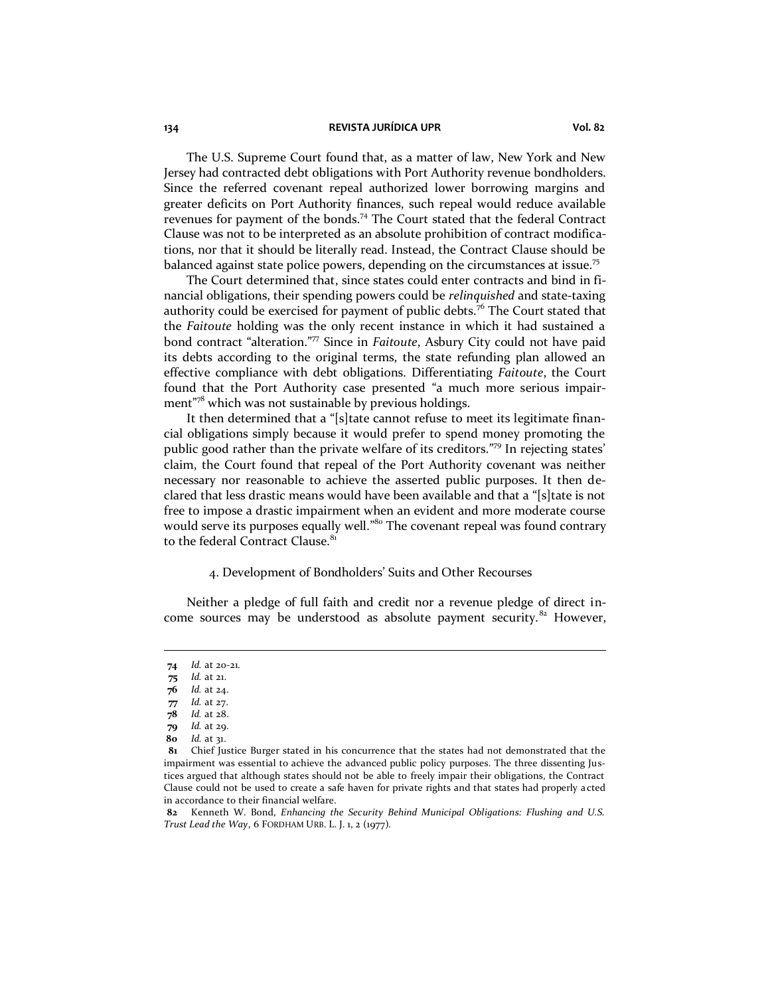The U.S. Supreme Court found that, as a matter of law, New York and New Jersey had contracted debt obligations with Port Authority revenue bondholders. Since the referred covenant repeal authorized lower borrowing margins and greater deficits on Port Authority finances, such repeal would reduce available revenues for payment of the bonds.<sup>74</sup> The Court stated that the federal Contract Clause was not to be interpreted as an absolute prohibition of contract modifications, nor that it should be literally read. Instead, the Contract Clause should be balanced against state police powers, depending on the circumstances at issue.<sup>75</sup>

The Court determined that, since states could enter contracts and bind in financial obligations, their spending powers could be *relinquished* and state-taxing authority could be exercised for payment of public debts.<sup>76</sup> The Court stated that the *Faitoute* holding was the only recent instance in which it had sustained a bond contract "alteration." <sup>77</sup> Since in *Faitoute*, Asbury City could not have paid its debts according to the original terms, the state refunding plan allowed an effective compliance with debt obligations. Differentiating *Faitoute*, the Court found that the Port Authority case presented "a much more serious impairment"78 which was not sustainable by previous holdings.

It then determined that a "[s]tate cannot refuse to meet its legitimate financial obligations simply because it would prefer to spend money promoting the public good rather than the private welfare of its creditors."79 In rejecting states' claim, the Court found that repeal of the Port Authority covenant was neither necessary nor reasonable to achieve the asserted public purposes. It then declared that less drastic means would have been available and that a "[s]tate is not free to impose a drastic impairment when an evident and more moderate course would serve its purposes equally well."<sup>80</sup> The covenant repeal was found contrary to the federal Contract Clause.<sup>81</sup>

## 4. Development of Bondholders' Suits and Other Recourses

Neither a pledge of full faith and credit nor a revenue pledge of direct income sources may be understood as absolute payment security.<sup>82</sup> However,

**<sup>74</sup>** *Id.* at 20-21.

**<sup>75</sup>** *Id.* at 21.

**<sup>76</sup>** *Id.* at 24. **77** *Id.* at 27.

**<sup>78</sup>** *Id.* at 28.

**<sup>79</sup>** *Id.* at 29.

**<sup>80</sup>** *Id.* at 31.

**<sup>81</sup>** Chief Justice Burger stated in his concurrence that the states had not demonstrated that the impairment was essential to achieve the advanced public policy purposes. The three dissenting Justices argued that although states should not be able to freely impair their obligations, the Contract Clause could not be used to create a safe haven for private rights and that states had properly acted in accordance to their financial welfare.

**<sup>82</sup>** Kenneth W. Bond, *Enhancing the Security Behind Municipal Obligations: Flushing and U.S. Trust Lead the Way*, 6 FORDHAM URB. L. J. 1, 2 (1977).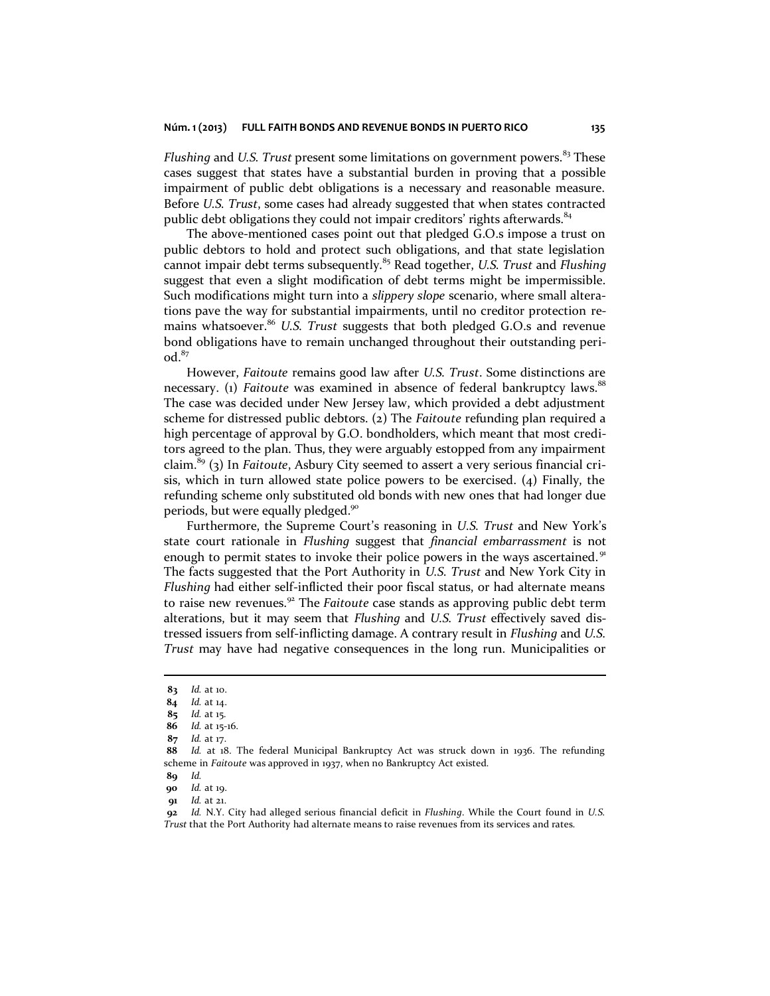#### **Núm. 1 (2013) FULL FAITH BONDS AND REVENUE BONDS IN PUERTO RICO 135**

*Flushing* and *U.S. Trust* present some limitations on government powers.<sup>83</sup> These cases suggest that states have a substantial burden in proving that a possible impairment of public debt obligations is a necessary and reasonable measure. Before *U.S. Trust*, some cases had already suggested that when states contracted public debt obligations they could not impair creditors' rights afterwards.<sup>84</sup>

The above-mentioned cases point out that pledged G.O.s impose a trust on public debtors to hold and protect such obligations, and that state legislation cannot impair debt terms subsequently.<sup>85</sup> Read together, *U.S. Trust* and *Flushing* suggest that even a slight modification of debt terms might be impermissible. Such modifications might turn into a *slippery slope* scenario, where small alterations pave the way for substantial impairments, until no creditor protection remains whatsoever.<sup>86</sup> U.S. Trust suggests that both pledged G.O.s and revenue bond obligations have to remain unchanged throughout their outstanding peri $od.<sup>87</sup>$ 

However, *Faitoute* remains good law after *U.S. Trust*. Some distinctions are necessary. (1) *Faitoute* was examined in absence of federal bankruptcy laws.<sup>88</sup> The case was decided under New Jersey law, which provided a debt adjustment scheme for distressed public debtors. (2) The *Faitoute* refunding plan required a high percentage of approval by G.O. bondholders, which meant that most creditors agreed to the plan. Thus, they were arguably estopped from any impairment claim.<sup>89</sup> (3) In *Faitoute*, Asbury City seemed to assert a very serious financial crisis, which in turn allowed state police powers to be exercised. (4) Finally, the refunding scheme only substituted old bonds with new ones that had longer due periods, but were equally pledged.<sup>90</sup>

Furthermore, the Supreme Court's reasoning in *U.S. Trust* and New York's state court rationale in *Flushing* suggest that *financial embarrassment* is not enough to permit states to invoke their police powers in the ways ascertained.<sup>91</sup> The facts suggested that the Port Authority in *U.S. Trust* and New York City in *Flushing* had either self-inflicted their poor fiscal status, or had alternate means to raise new revenues.<sup>92</sup> The *Faitoute* case stands as approving public debt term alterations, but it may seem that *Flushing* and *U.S. Trust* effectively saved distressed issuers from self-inflicting damage. A contrary result in *Flushing* and *U.S. Trust* may have had negative consequences in the long run. Municipalities or

**<sup>83</sup>** *Id.* at 10.

**<sup>84</sup>** *Id.* at 14.

**<sup>85</sup>** *Id.* at 15.

**<sup>86</sup>** *Id.* at 15-16.

**<sup>87</sup>** *Id.* at 17.

**<sup>88</sup>** *Id.* at 18. The federal Municipal Bankruptcy Act was struck down in 1936. The refunding scheme in *Faitoute* was approved in 1937, when no Bankruptcy Act existed.

**<sup>89</sup>** *Id.*

**<sup>90</sup>** *Id.* at 19.

**<sup>91</sup>** *Id.* at 21.

**<sup>92</sup>** *Id.* N.Y. City had alleged serious financial deficit in *Flushing*. While the Court found in *U.S. Trust* that the Port Authority had alternate means to raise revenues from its services and rates.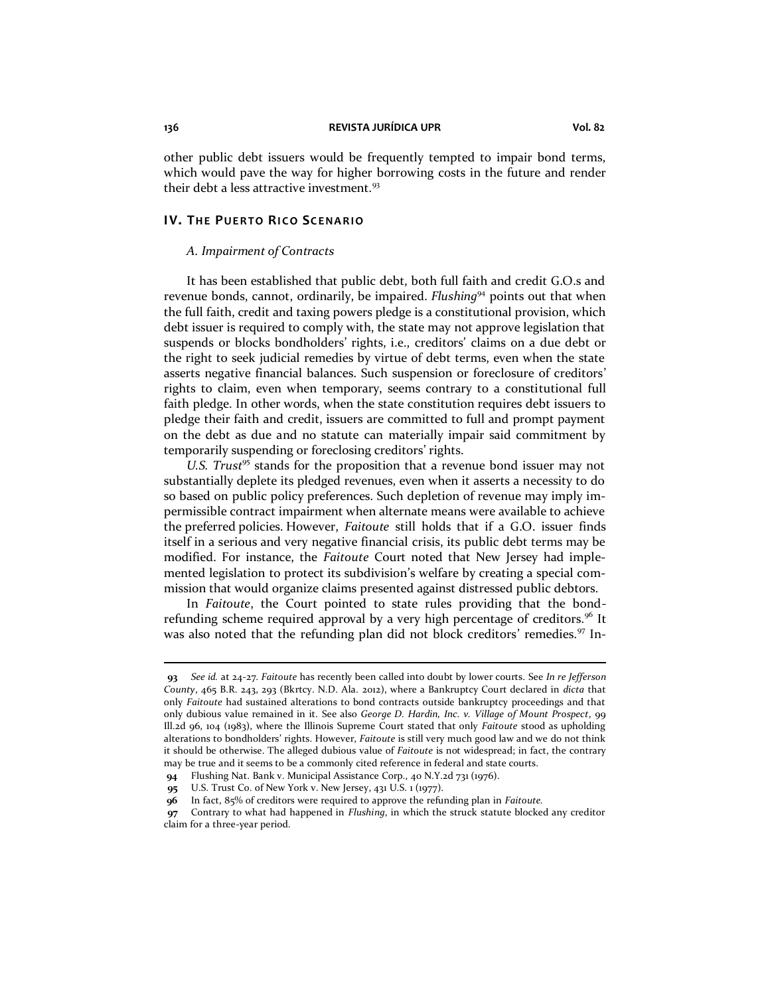other public debt issuers would be frequently tempted to impair bond terms, which would pave the way for higher borrowing costs in the future and render their debt a less attractive investment.<sup>93</sup>

# **IV.** THE PUERTO RICO SCENARIO

## *A. Impairment of Contracts*

It has been established that public debt, both full faith and credit G.O.s and revenue bonds, cannot, ordinarily, be impaired. *Flushing<sup>94</sup>* points out that when the full faith, credit and taxing powers pledge is a constitutional provision, which debt issuer is required to comply with, the state may not approve legislation that suspends or blocks bondholders' rights, i.e., creditors' claims on a due debt or the right to seek judicial remedies by virtue of debt terms, even when the state asserts negative financial balances. Such suspension or foreclosure of creditors' rights to claim, even when temporary, seems contrary to a constitutional full faith pledge. In other words, when the state constitution requires debt issuers to pledge their faith and credit, issuers are committed to full and prompt payment on the debt as due and no statute can materially impair said commitment by temporarily suspending or foreclosing creditors' rights.

*U.S. Trust*<sup>95</sup> stands for the proposition that a revenue bond issuer may not substantially deplete its pledged revenues, even when it asserts a necessity to do so based on public policy preferences. Such depletion of revenue may imply impermissible contract impairment when alternate means were available to achieve the preferred policies. However, *Faitoute* still holds that if a G.O. issuer finds itself in a serious and very negative financial crisis, its public debt terms may be modified. For instance, the *Faitoute* Court noted that New Jersey had implemented legislation to protect its subdivision's welfare by creating a special commission that would organize claims presented against distressed public debtors.

In *Faitoute*, the Court pointed to state rules providing that the bondrefunding scheme required approval by a very high percentage of creditors.<sup>96</sup> It was also noted that the refunding plan did not block creditors' remedies.<sup>97</sup> In-

**<sup>93</sup>** *See id.* at 24-27. *Faitoute* has recently been called into doubt by lower courts. See *In re Jefferson County*, 465 B.R. 243, 293 (Bkrtcy. N.D. Ala. 2012), where a Bankruptcy Court declared in *dicta* that only *Faitoute* had sustained alterations to bond contracts outside bankruptcy proceedings and that only dubious value remained in it. See also *George D. Hardin, Inc. v. Village of Mount Prospect*, 99 Ill.2d 96, 104 (1983), where the Illinois Supreme Court stated that only *Faitoute* stood as upholding alterations to bondholders' rights. However, *Faitoute* is still very much good law and we do not think it should be otherwise. The alleged dubious value of *Faitoute* is not widespread; in fact, the contrary may be true and it seems to be a commonly cited reference in federal and state courts.

**<sup>94</sup>** Flushing Nat. Bank v. Municipal Assistance Corp., 40 N.Y.2d 731 (1976).

**<sup>95</sup>** U.S. Trust Co. of New York v. New Jersey, 431 U.S. 1 (1977).

**<sup>96</sup>** In fact, 85% of creditors were required to approve the refunding plan in *Faitoute.*

**<sup>97</sup>** Contrary to what had happened in *Flushing*, in which the struck statute blocked any creditor claim for a three-year period.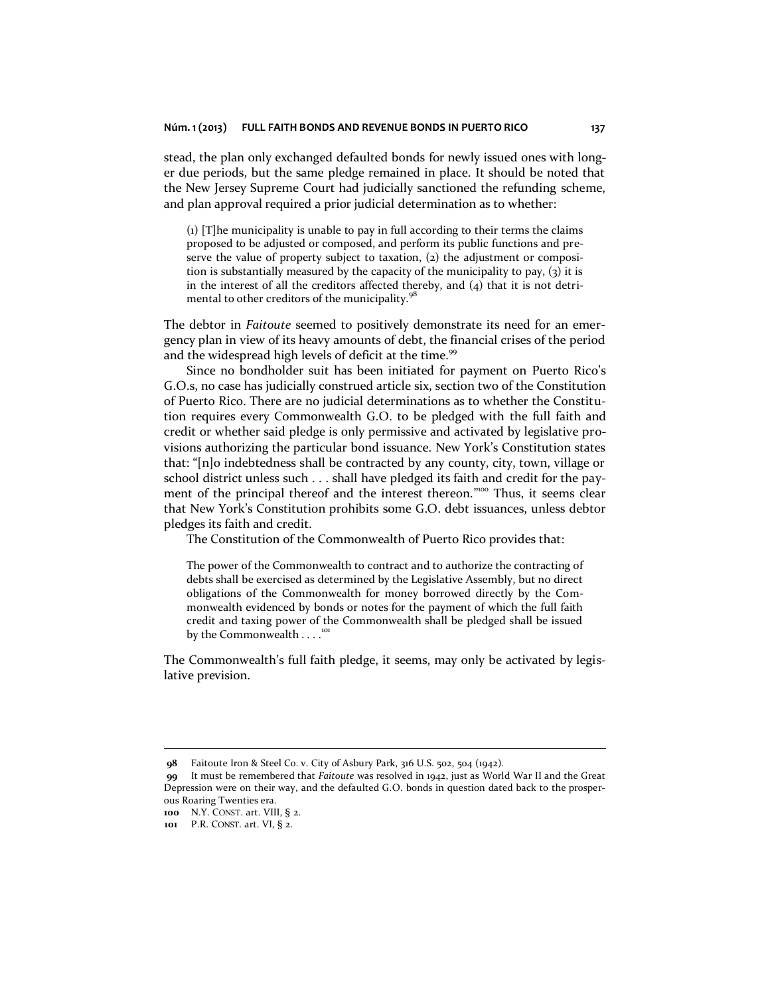stead, the plan only exchanged defaulted bonds for newly issued ones with longer due periods, but the same pledge remained in place. It should be noted that the New Jersey Supreme Court had judicially sanctioned the refunding scheme, and plan approval required a prior judicial determination as to whether:

(1) [T]he municipality is unable to pay in full according to their terms the claims proposed to be adjusted or composed, and perform its public functions and preserve the value of property subject to taxation, (2) the adjustment or composition is substantially measured by the capacity of the municipality to pay, (3) it is in the interest of all the creditors affected thereby, and (4) that it is not detrimental to other creditors of the municipality.<sup>98</sup>

The debtor in *Faitoute* seemed to positively demonstrate its need for an emergency plan in view of its heavy amounts of debt, the financial crises of the period and the widespread high levels of deficit at the time.<sup>99</sup>

Since no bondholder suit has been initiated for payment on Puerto Rico's G.O.s, no case has judicially construed article six, section two of the Constitution of Puerto Rico. There are no judicial determinations as to whether the Constitution requires every Commonwealth G.O. to be pledged with the full faith and credit or whether said pledge is only permissive and activated by legislative provisions authorizing the particular bond issuance. New York's Constitution states that: "[n]o indebtedness shall be contracted by any county, city, town, village or school district unless such . . . shall have pledged its faith and credit for the payment of the principal thereof and the interest thereon."<sup>100</sup> Thus, it seems clear that New York's Constitution prohibits some G.O. debt issuances, unless debtor pledges its faith and credit.

The Constitution of the Commonwealth of Puerto Rico provides that:

The power of the Commonwealth to contract and to authorize the contracting of debts shall be exercised as determined by the Legislative Assembly, but no direct obligations of the Commonwealth for money borrowed directly by the Commonwealth evidenced by bonds or notes for the payment of which the full faith credit and taxing power of the Commonwealth shall be pledged shall be issued by the Commonwealth . . . .<sup>101</sup>

The Commonwealth's full faith pledge, it seems, may only be activated by legislative prevision.

**<sup>98</sup>** Faitoute Iron & Steel Co. v. City of Asbury Park, 316 U.S. 502, 504 (1942).

**<sup>99</sup>** It must be remembered that *Faitoute* was resolved in 1942, just as World War II and the Great Depression were on their way, and the defaulted G.O. bonds in question dated back to the prosperous Roaring Twenties era.

**<sup>100</sup>** N.Y. CONST. art. VIII, § 2.

**<sup>101</sup>** P.R. CONST. art. VI, § 2.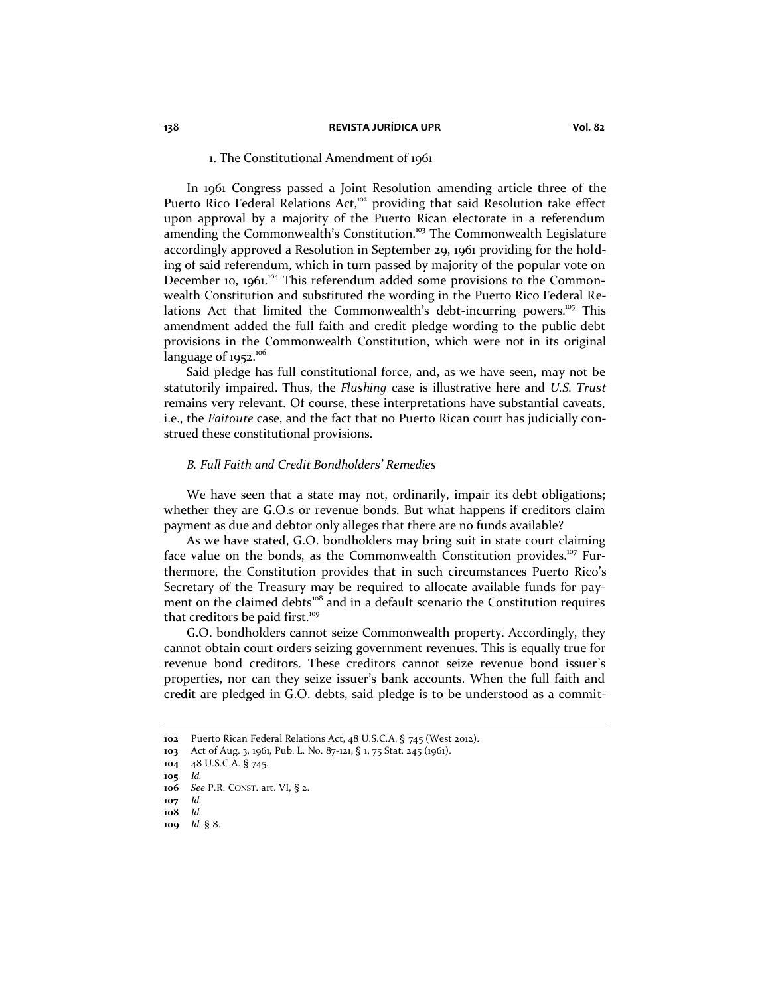# 1. The Constitutional Amendment of 1961

In 1961 Congress passed a Joint Resolution amending article three of the Puerto Rico Federal Relations Act,<sup>102</sup> providing that said Resolution take effect upon approval by a majority of the Puerto Rican electorate in a referendum amending the Commonwealth's Constitution.<sup>103</sup> The Commonwealth Legislature accordingly approved a Resolution in September 29, 1961 providing for the holding of said referendum, which in turn passed by majority of the popular vote on December 10, 1961.<sup>104</sup> This referendum added some provisions to the Commonwealth Constitution and substituted the wording in the Puerto Rico Federal Relations Act that limited the Commonwealth's debt-incurring powers.<sup>105</sup> This amendment added the full faith and credit pledge wording to the public debt provisions in the Commonwealth Constitution, which were not in its original language of  $1952.^{106}$ 

Said pledge has full constitutional force, and, as we have seen, may not be statutorily impaired. Thus, the *Flushing* case is illustrative here and *U.S. Trust* remains very relevant. Of course, these interpretations have substantial caveats, i.e., the *Faitoute* case, and the fact that no Puerto Rican court has judicially construed these constitutional provisions.

### *B. Full Faith and Credit Bondholders' Remedies*

We have seen that a state may not, ordinarily, impair its debt obligations; whether they are G.O.s or revenue bonds. But what happens if creditors claim payment as due and debtor only alleges that there are no funds available?

As we have stated, G.O. bondholders may bring suit in state court claiming face value on the bonds, as the Commonwealth Constitution provides.<sup>107</sup> Furthermore, the Constitution provides that in such circumstances Puerto Rico's Secretary of the Treasury may be required to allocate available funds for payment on the claimed debts<sup>108</sup> and in a default scenario the Constitution requires that creditors be paid first.<sup>109</sup>

G.O. bondholders cannot seize Commonwealth property. Accordingly, they cannot obtain court orders seizing government revenues. This is equally true for revenue bond creditors. These creditors cannot seize revenue bond issuer's properties, nor can they seize issuer's bank accounts. When the full faith and credit are pledged in G.O. debts, said pledge is to be understood as a commit-

**<sup>102</sup>** Puerto Rican Federal Relations Act, 48 U.S.C.A. § 745 (West 2012).

**<sup>103</sup>** Act of Aug. 3, 1961, Pub. L. No. 87-121, § 1, 75 Stat. 245 (1961).

**<sup>104</sup>** 48 U.S.C.A. § 745.

**<sup>105</sup>** *Id.*

**<sup>106</sup>** *See* P.R. CONST. art. VI, § 2.

**<sup>107</sup>** *Id.*

**<sup>108</sup>** *Id.*

**<sup>109</sup>** *Id.* § 8.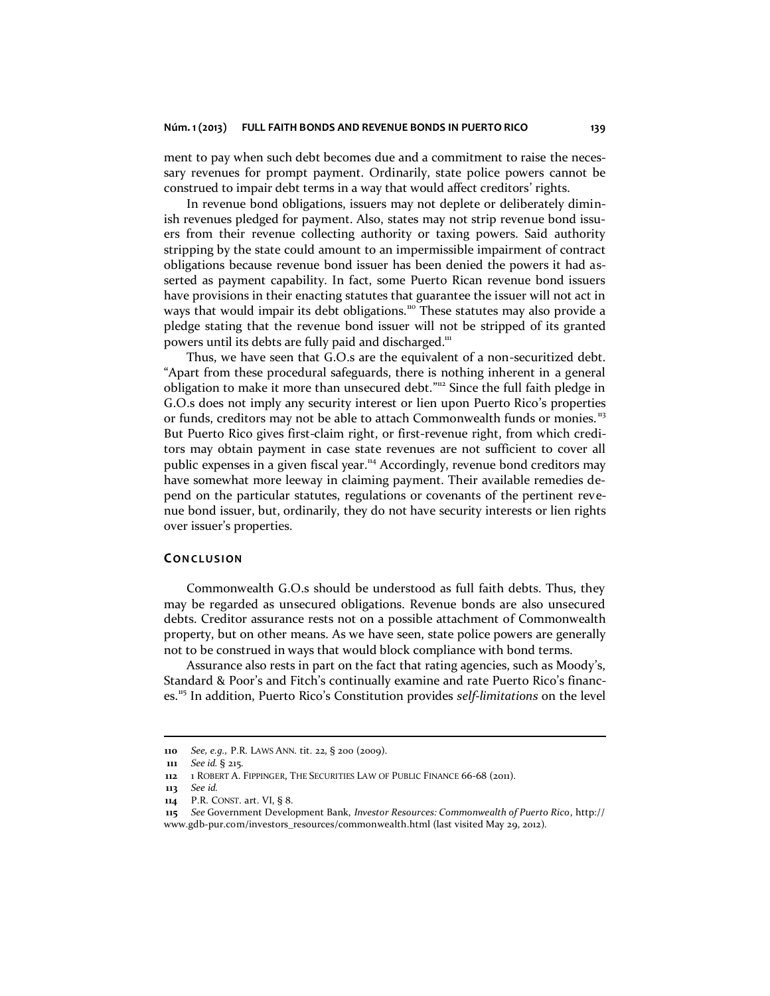#### **Núm. 1 (2013) FULL FAITH BONDS AND REVENUE BONDS IN PUERTO RICO 139**

ment to pay when such debt becomes due and a commitment to raise the necessary revenues for prompt payment. Ordinarily, state police powers cannot be construed to impair debt terms in a way that would affect creditors' rights.

In revenue bond obligations, issuers may not deplete or deliberately diminish revenues pledged for payment. Also, states may not strip revenue bond issuers from their revenue collecting authority or taxing powers. Said authority stripping by the state could amount to an impermissible impairment of contract obligations because revenue bond issuer has been denied the powers it had asserted as payment capability. In fact, some Puerto Rican revenue bond issuers have provisions in their enacting statutes that guarantee the issuer will not act in ways that would impair its debt obligations.<sup>110</sup> These statutes may also provide a pledge stating that the revenue bond issuer will not be stripped of its granted powers until its debts are fully paid and discharged.<sup>111</sup>

Thus, we have seen that G.O.s are the equivalent of a non-securitized debt. "Apart from these procedural safeguards, there is nothing inherent in a general obligation to make it more than unsecured debt."<sup>112</sup> Since the full faith pledge in G.O.s does not imply any security interest or lien upon Puerto Rico's properties or funds, creditors may not be able to attach Commonwealth funds or monies.<sup>113</sup> But Puerto Rico gives first-claim right, or first-revenue right, from which creditors may obtain payment in case state revenues are not sufficient to cover all public expenses in a given fiscal year.<sup>114</sup> Accordingly, revenue bond creditors may have somewhat more leeway in claiming payment. Their available remedies depend on the particular statutes, regulations or covenants of the pertinent revenue bond issuer, but, ordinarily, they do not have security interests or lien rights over issuer's properties.

## **CON C L US I ON**

Commonwealth G.O.s should be understood as full faith debts. Thus, they may be regarded as unsecured obligations. Revenue bonds are also unsecured debts. Creditor assurance rests not on a possible attachment of Commonwealth property, but on other means. As we have seen, state police powers are generally not to be construed in ways that would block compliance with bond terms.

Assurance also rests in part on the fact that rating agencies, such as Moody's, Standard & Poor's and Fitch's continually examine and rate Puerto Rico's finances. <sup>115</sup> In addition, Puerto Rico's Constitution provides *self-limitations* on the level

**<sup>110</sup>** *See, e.g.,* P.R. LAWS ANN. tit. 22, § 200 (2009).

**<sup>111</sup>** *See id.* § 215.

<sup>112 1</sup> ROBERT A. FIPPINGER, THE SECURITIES LAW OF PUBLIC FINANCE 66-68 (2011).

**<sup>113</sup>** *See id.*

**<sup>114</sup>** P.R. CONST. art. VI, § 8.

**<sup>115</sup>** *See* Government Development Bank, *Investor Resources: Commonwealth of Puerto Rico*, http:// www.gdb-pur.com/investors\_resources/commonwealth.html (last visited May 29, 2012).